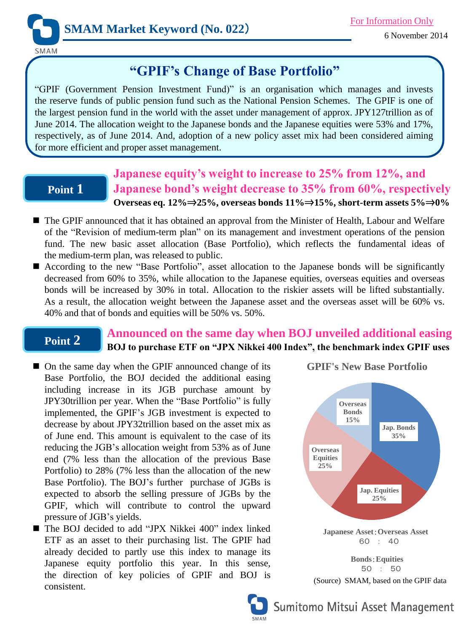

SMAM

# **"GPIF's Change of Base Portfolio"**

"GPIF (Government Pension Investment Fund)" is an organisation which manages and invests the reserve funds of public pension fund such as the National Pension Schemes. The GPIF is one of the largest pension fund in the world with the asset under management of approx. JPY127trillion as of June 2014. The allocation weight to the Japanese bonds and the Japanese equities were 53% and 17%, respectively, as of June 2014. And, adoption of a new policy asset mix had been considered aiming for more efficient and proper asset management.

## **Point 1**

## **Japanese equity's weight to increase to 25% from 12%, and Japanese bond's weight decrease to 35% from 60%, respectively Overseas eq. 12%**⇒**25%, overseas bonds 11%**⇒**15%, short-term assets 5%**⇒**0%**

- The GPIF announced that it has obtained an approval from the Minister of Health, Labour and Welfare of the "Revision of medium-term plan" on its management and investment operations of the pension fund. The new basic asset allocation (Base Portfolio), which reflects the fundamental ideas of the medium-term plan, was released to public.
- According to the new "Base Portfolio", asset allocation to the Japanese bonds will be significantly decreased from 60% to 35%, while allocation to the Japanese equities, overseas equities and overseas bonds will be increased by 30% in total. Allocation to the riskier assets will be lifted substantially. As a result, the allocation weight between the Japanese asset and the overseas asset will be 60% vs. 40% and that of bonds and equities will be 50% vs. 50%.

#### **Point 2 Announced on the same day when BOJ unveiled additional easing BOJ to purchase ETF on "JPX Nikkei 400 Index", the benchmark index GPIF uses**

- On the same day when the GPIF announced change of its Base Portfolio, the BOJ decided the additional easing including increase in its JGB purchase amount by JPY30trillion per year. When the "Base Portfolio" is fully implemented, the GPIF's JGB investment is expected to decrease by about JPY32trillion based on the asset mix as of June end. This amount is equivalent to the case of its reducing the JGB's allocation weight from 53% as of June end (7% less than the allocation of the previous Base Portfolio) to 28% (7% less than the allocation of the new Base Portfolio). The BOJ's further purchase of JGBs is expected to absorb the selling pressure of JGBs by the GPIF, which will contribute to control the upward pressure of JGB's yields.
- The BOJ decided to add "JPX Nikkei 400" index linked ETF as an asset to their purchasing list. The GPIF had already decided to partly use this index to manage its Japanese equity portfolio this year. In this sense, the direction of key policies of GPIF and BOJ is consistent.